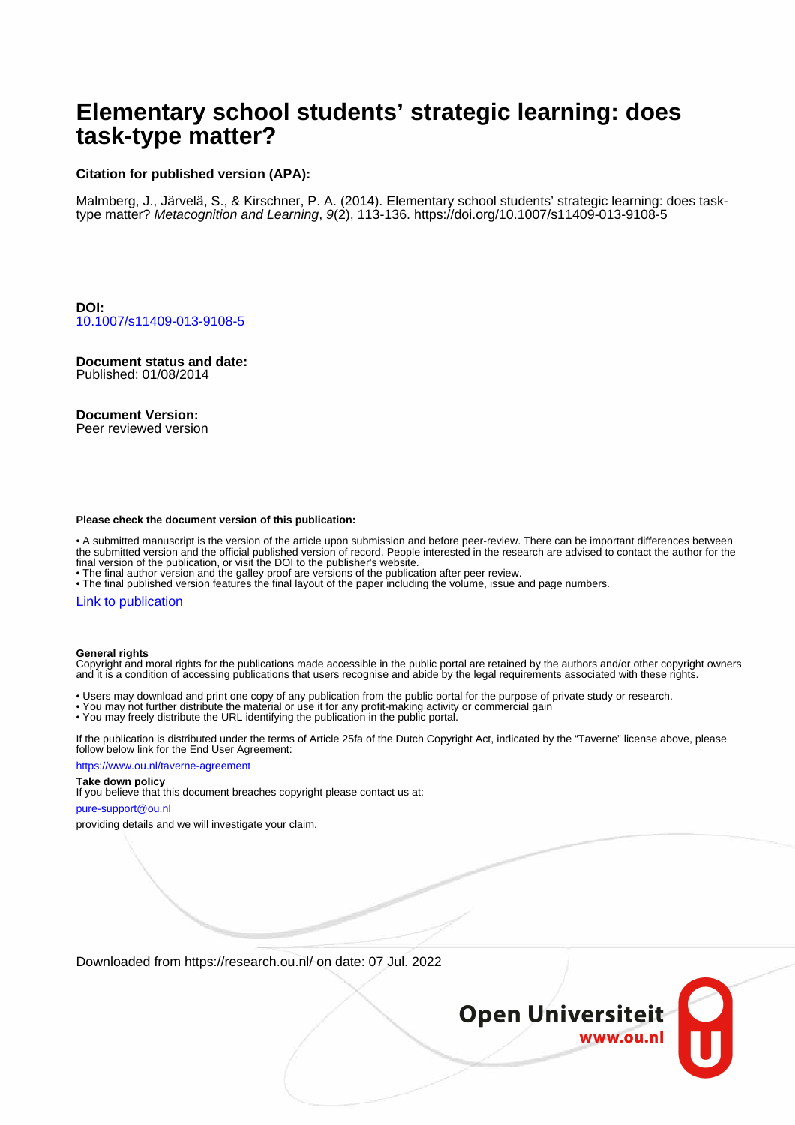# **Elementary school students' strategic learning: does task-type matter?**

## **Citation for published version (APA):**

Malmberg, J., Järvelä, S., & Kirschner, P. A. (2014). Elementary school students' strategic learning: does tasktype matter? Metacognition and Learning, 9(2), 113-136. <https://doi.org/10.1007/s11409-013-9108-5>

**DOI:** [10.1007/s11409-013-9108-5](https://doi.org/10.1007/s11409-013-9108-5)

**Document status and date:** Published: 01/08/2014

#### **Document Version:**

Peer reviewed version

#### **Please check the document version of this publication:**

• A submitted manuscript is the version of the article upon submission and before peer-review. There can be important differences between the submitted version and the official published version of record. People interested in the research are advised to contact the author for the final version of the publication, or visit the DOI to the publisher's website.

• The final author version and the galley proof are versions of the publication after peer review.

• The final published version features the final layout of the paper including the volume, issue and page numbers.

### [Link to publication](https://research.ou.nl/en/publications/1373d5e9-ea73-47ef-a865-5bc92305936e)

#### **General rights**

Copyright and moral rights for the publications made accessible in the public portal are retained by the authors and/or other copyright owners and it is a condition of accessing publications that users recognise and abide by the legal requirements associated with these rights.

- Users may download and print one copy of any publication from the public portal for the purpose of private study or research.
- You may not further distribute the material or use it for any profit-making activity or commercial gain
- You may freely distribute the URL identifying the publication in the public portal.

If the publication is distributed under the terms of Article 25fa of the Dutch Copyright Act, indicated by the "Taverne" license above, please follow below link for the End User Agreement:

#### https://www.ou.nl/taverne-agreement

# **Take down policy**

If you believe that this document breaches copyright please contact us at:

#### pure-support@ou.nl

providing details and we will investigate your claim.

Downloaded from https://research.ou.nl/ on date: 07 Jul. 2022